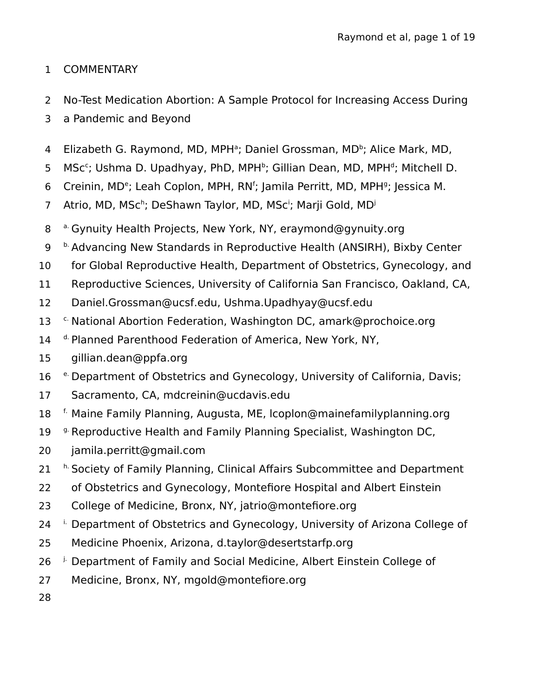# **COMMENTARY** 1

- No-Test Medication Abortion: A Sample Protocol for Increasing Access During 2
- a Pandemic and Beyond 3
- Elizabeth G. Raymond, MD, MPH<sup>a</sup>; Daniel Grossman, MD<sup>b</sup>; Alice Mark, MD, 4
- MSc<sup>c</sup>; Ushma D. Upadhyay, PhD, MPH<sup>b</sup>; Gillian Dean, MD, MPH<sup>d</sup>; Mitchell D. 5
- Creinin, MD<sup>e</sup>; Leah Coplon, MPH, RN<sup>f</sup>; Jamila Perritt, MD, MPH<sup>g</sup>; Jessica M. 6
- Atrio, MD, MSc<sup>h</sup>; DeShawn Taylor, MD, MSc<sup>i</sup>; Marji Gold, MD<sup>j</sup> 7
- a. Gynuity Health Projects, New York, NY, eraymond@gynuity.org 8
- **b.** Advancing New Standards in Reproductive Health (ANSIRH), Bixby Center 9
- for Global Reproductive Health, Department of Obstetrics, Gynecology, and 10
- Reproductive Sciences, University of California San Francisco, Oakland, CA, 11
- Daniel.Grossman@ucsf.edu, Ushma.Upadhyay@ucsf.edu 12
- c. National Abortion Federation, Washington DC, amark@prochoice.org 13
- d. Planned Parenthood Federation of America, New York, NY, 14
- gillian.dean@ppfa.org 15
- e. Department of Obstetrics and Gynecology, University of California, Davis; 16
- Sacramento, CA, mdcreinin@ucdavis.edu 17
- f. Maine Family Planning, Augusta, ME, lcoplon@mainefamilyplanning.org 18
- <sup>g.</sup> Reproductive Health and Family Planning Specialist, Washington DC, 19
- jamila.perritt@gmail.com 20
- h. Society of Family Planning, Clinical Affairs Subcommittee and Department 21
- of Obstetrics and Gynecology, Montefiore Hospital and Albert Einstein 22
- College of Medicine, Bronx, NY, jatrio@montefiore.org 23
- i. Department of Obstetrics and Gynecology, University of Arizona College of 24
- Medicine Phoenix, Arizona, d.taylor@desertstarfp.org 25
- j. Department of Family and Social Medicine, Albert Einstein College of 26
- Medicine, Bronx, NY, mgold@montefiore.org 27
- 28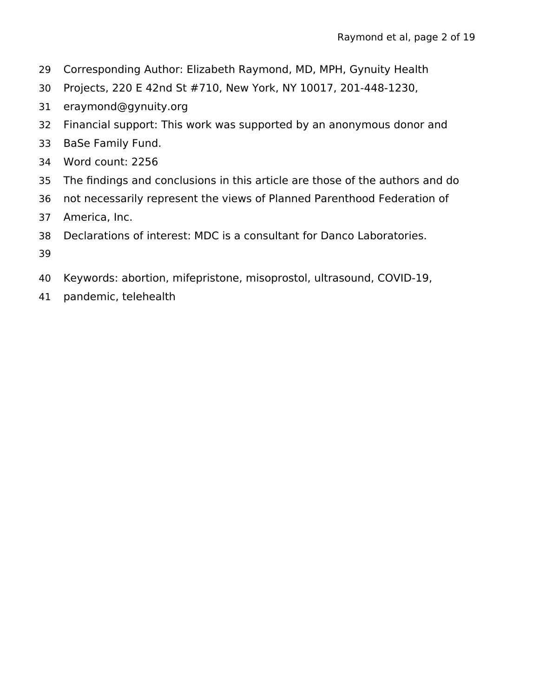- Corresponding Author: Elizabeth Raymond, MD, MPH, Gynuity Health 29
- Projects, 220 E 42nd St #710, New York, NY 10017, 201-448-1230, 30
- eraymond@gynuity.org 31
- Financial support: This work was supported by an anonymous donor and 32
- BaSe Family Fund. 33
- Word count: 2256 34
- The findings and conclusions in this article are those of the authors and do 35
- not necessarily represent the views of Planned Parenthood Federation of 36
- America, Inc. 37
- Declarations of interest: MDC is a consultant for Danco Laboratories. 38
- 39
- Keywords: abortion, mifepristone, misoprostol, ultrasound, COVID-19, 40
- pandemic, telehealth 41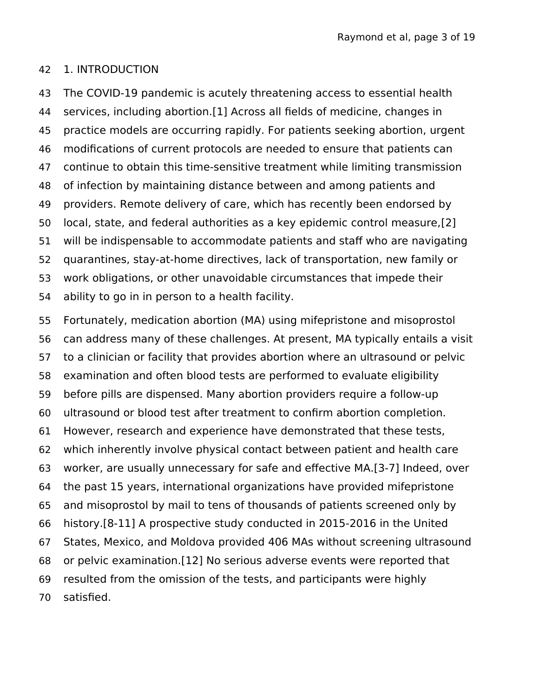#### 1. INTRODUCTION 42

The COVID-19 pandemic is acutely threatening access to essential health services, including abortion.[1] Across all fields of medicine, changes in practice models are occurring rapidly. For patients seeking abortion, urgent modifications of current protocols are needed to ensure that patients can continue to obtain this time-sensitive treatment while limiting transmission of infection by maintaining distance between and among patients and providers. Remote delivery of care, which has recently been endorsed by local, state, and federal authorities as a key epidemic control measure,[2] will be indispensable to accommodate patients and staff who are navigating quarantines, stay-at-home directives, lack of transportation, new family or work obligations, or other unavoidable circumstances that impede their ability to go in in person to a health facility. 43 44 45 46 47 48 49 50 51 52 53 54

Fortunately, medication abortion (MA) using mifepristone and misoprostol can address many of these challenges. At present, MA typically entails a visit to a clinician or facility that provides abortion where an ultrasound or pelvic examination and often blood tests are performed to evaluate eligibility before pills are dispensed. Many abortion providers require a follow-up ultrasound or blood test after treatment to confirm abortion completion. However, research and experience have demonstrated that these tests, which inherently involve physical contact between patient and health care worker, are usually unnecessary for safe and effective MA.[3-7] Indeed, over the past 15 years, international organizations have provided mifepristone and misoprostol by mail to tens of thousands of patients screened only by history.[8-11] A prospective study conducted in 2015-2016 in the United States, Mexico, and Moldova provided 406 MAs without screening ultrasound or pelvic examination.[12] No serious adverse events were reported that resulted from the omission of the tests, and participants were highly satisfied. 55 56 57 58 59 60 61 62 63 64 65 66 67 68 69 70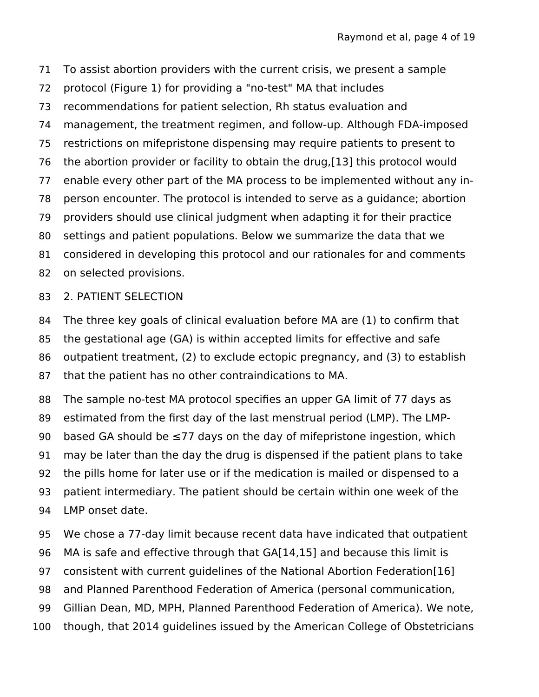To assist abortion providers with the current crisis, we present a sample 71

- protocol (Figure 1) for providing a "no-test" MA that includes 72
- recommendations for patient selection, Rh status evaluation and 73
- management, the treatment regimen, and follow-up. Although FDA-imposed 74
- restrictions on mifepristone dispensing may require patients to present to 75

the abortion provider or facility to obtain the drug,[13] this protocol would 76

- enable every other part of the MA process to be implemented without any in-77
- person encounter. The protocol is intended to serve as a guidance; abortion 78
- providers should use clinical judgment when adapting it for their practice 79
- settings and patient populations. Below we summarize the data that we 80
- considered in developing this protocol and our rationales for and comments 81
- on selected provisions. 82

## 2. PATIENT SELECTION 83

The three key goals of clinical evaluation before MA are (1) to confirm that 84

- the gestational age (GA) is within accepted limits for effective and safe 85
- outpatient treatment, (2) to exclude ectopic pregnancy, and (3) to establish 86
- that the patient has no other contraindications to MA. 87

The sample no-test MA protocol specifies an upper GA limit of 77 days as 88

- estimated from the first day of the last menstrual period (LMP). The LMP-89
- based GA should be  $\leq$ 77 days on the day of mifepristone ingestion, which 90
- may be later than the day the drug is dispensed if the patient plans to take 91
- the pills home for later use or if the medication is mailed or dispensed to a 92
- patient intermediary. The patient should be certain within one week of the LMP onset date. 93 94
- We chose a 77-day limit because recent data have indicated that outpatient 95
- MA is safe and effective through that GA[14,15] and because this limit is 96
- consistent with current guidelines of the National Abortion Federation[16] 97
- and Planned Parenthood Federation of America (personal communication, 98
- Gillian Dean, MD, MPH, Planned Parenthood Federation of America). We note, 99
- though, that 2014 guidelines issued by the American College of Obstetricians 100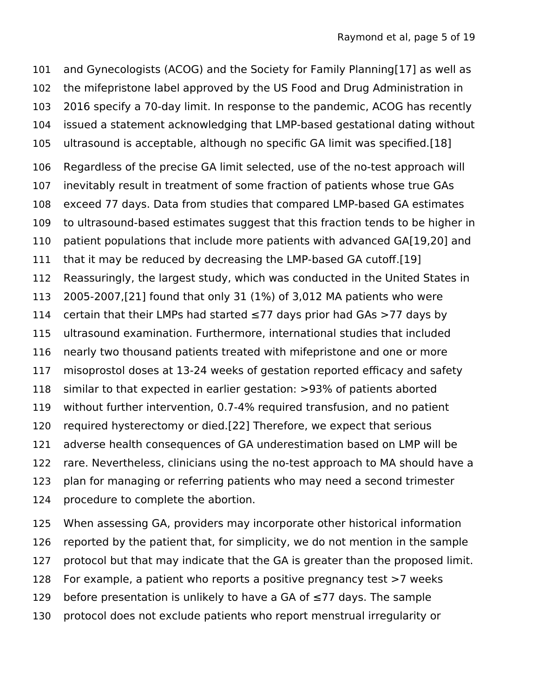and Gynecologists (ACOG) and the Society for Family Planning[17] as well as the mifepristone label approved by the US Food and Drug Administration in 2016 specify a 70-day limit. In response to the pandemic, ACOG has recently issued a statement acknowledging that LMP-based gestational dating without ultrasound is acceptable, although no specific GA limit was specified.[18] Regardless of the precise GA limit selected, use of the no-test approach will inevitably result in treatment of some fraction of patients whose true GAs exceed 77 days. Data from studies that compared LMP-based GA estimates to ultrasound-based estimates suggest that this fraction tends to be higher in patient populations that include more patients with advanced GA[19,20] and that it may be reduced by decreasing the LMP-based GA cutoff.[19] Reassuringly, the largest study, which was conducted in the United States in 2005-2007,[21] found that only 31 (1%) of 3,012 MA patients who were certain that their LMPs had started  $\leq$ 77 days prior had GAs  $>$ 77 days by ultrasound examination. Furthermore, international studies that included nearly two thousand patients treated with mifepristone and one or more misoprostol doses at 13-24 weeks of gestation reported efficacy and safety similar to that expected in earlier gestation: >93% of patients aborted without further intervention, 0.7-4% required transfusion, and no patient required hysterectomy or died.[22] Therefore, we expect that serious adverse health consequences of GA underestimation based on LMP will be rare. Nevertheless, clinicians using the no-test approach to MA should have a plan for managing or referring patients who may need a second trimester procedure to complete the abortion. 101 102 103 104 105 106 107 108 109 110 111 112 113 114 115 116 117 118 119 120 121 122 123 124

When assessing GA, providers may incorporate other historical information reported by the patient that, for simplicity, we do not mention in the sample protocol but that may indicate that the GA is greater than the proposed limit. For example, a patient who reports a positive pregnancy test >7 weeks before presentation is unlikely to have a GA of  $\leq$ 77 days. The sample protocol does not exclude patients who report menstrual irregularity or 125 126 127 128 129 130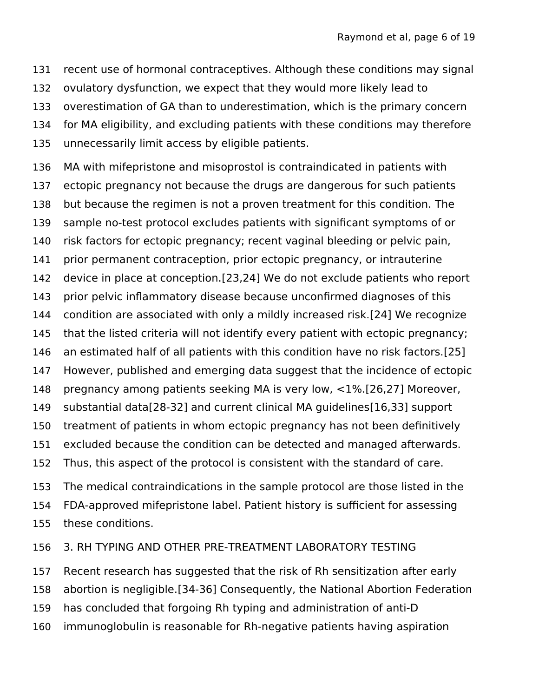recent use of hormonal contraceptives. Although these conditions may signal ovulatory dysfunction, we expect that they would more likely lead to overestimation of GA than to underestimation, which is the primary concern for MA eligibility, and excluding patients with these conditions may therefore unnecessarily limit access by eligible patients. 131 132 133 134 135

MA with mifepristone and misoprostol is contraindicated in patients with ectopic pregnancy not because the drugs are dangerous for such patients but because the regimen is not a proven treatment for this condition. The sample no-test protocol excludes patients with significant symptoms of or risk factors for ectopic pregnancy; recent vaginal bleeding or pelvic pain, prior permanent contraception, prior ectopic pregnancy, or intrauterine device in place at conception.[23,24] We do not exclude patients who report prior pelvic inflammatory disease because unconfirmed diagnoses of this condition are associated with only a mildly increased risk.[24] We recognize that the listed criteria will not identify every patient with ectopic pregnancy; an estimated half of all patients with this condition have no risk factors.[25] However, published and emerging data suggest that the incidence of ectopic pregnancy among patients seeking MA is very low, <1%.[26,27] Moreover, substantial data[28-32] and current clinical MA guidelines[16,33] support treatment of patients in whom ectopic pregnancy has not been definitively excluded because the condition can be detected and managed afterwards. Thus, this aspect of the protocol is consistent with the standard of care. 136 137 138 139 140 141 142 143 144 145 146 147 148 149 150 151 152

The medical contraindications in the sample protocol are those listed in the FDA-approved mifepristone label. Patient history is sufficient for assessing these conditions. 153 154 155

#### 3. RH TYPING AND OTHER PRE-TREATMENT LABORATORY TESTING 156

Recent research has suggested that the risk of Rh sensitization after early abortion is negligible.[34-36] Consequently, the National Abortion Federation has concluded that forgoing Rh typing and administration of anti-D immunoglobulin is reasonable for Rh-negative patients having aspiration 157 158 159 160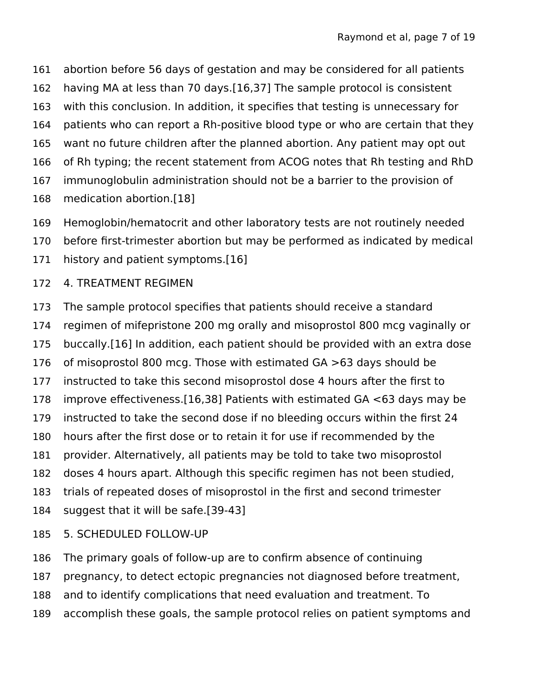- abortion before 56 days of gestation and may be considered for all patients 161
- having MA at less than 70 days.[16,37] The sample protocol is consistent 162
- with this conclusion. In addition, it specifies that testing is unnecessary for 163
- patients who can report a Rh-positive blood type or who are certain that they 164
- want no future children after the planned abortion. Any patient may opt out 165
- of Rh typing; the recent statement from ACOG notes that Rh testing and RhD 166
- immunoglobulin administration should not be a barrier to the provision of 167
- medication abortion.[18] 168
- Hemoglobin/hematocrit and other laboratory tests are not routinely needed 169
- before first-trimester abortion but may be performed as indicated by medical 170
- history and patient symptoms.[16] 171

## 4. TREATMENT REGIMEN 172

- The sample protocol specifies that patients should receive a standard regimen of mifepristone 200 mg orally and misoprostol 800 mcg vaginally or buccally.[16] In addition, each patient should be provided with an extra dose of misoprostol 800 mcg. Those with estimated GA >63 days should be instructed to take this second misoprostol dose 4 hours after the first to improve effectiveness.[16,38] Patients with estimated GA <63 days may be instructed to take the second dose if no bleeding occurs within the first 24 hours after the first dose or to retain it for use if recommended by the provider. Alternatively, all patients may be told to take two misoprostol doses 4 hours apart. Although this specific regimen has not been studied, trials of repeated doses of misoprostol in the first and second trimester suggest that it will be safe.[39-43] 173 174 175 176 177 178 179 180 181 182 183 184
- 5. SCHEDULED FOLLOW-UP 185
- The primary goals of follow-up are to confirm absence of continuing 186
- pregnancy, to detect ectopic pregnancies not diagnosed before treatment, 187
- and to identify complications that need evaluation and treatment. To 188
- accomplish these goals, the sample protocol relies on patient symptoms and 189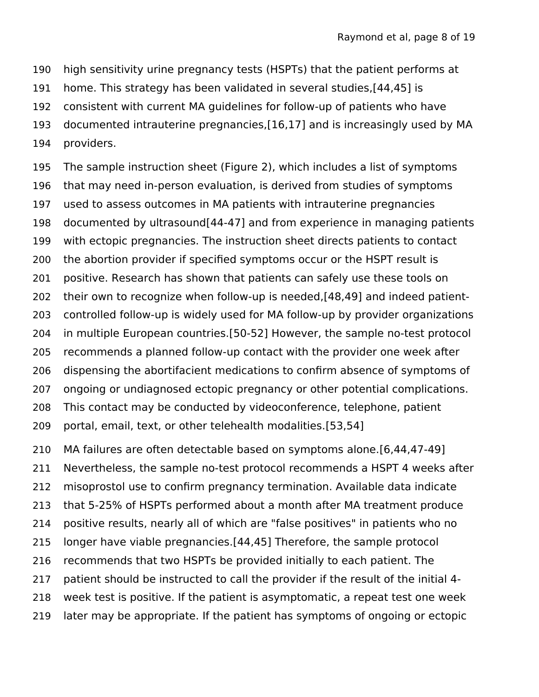- high sensitivity urine pregnancy tests (HSPTs) that the patient performs at 190
- home. This strategy has been validated in several studies,[44,45] is 191
- consistent with current MA guidelines for follow-up of patients who have 192
- documented intrauterine pregnancies,[16,17] and is increasingly used by MA 193
- providers. 194

The sample instruction sheet (Figure 2), which includes a list of symptoms that may need in-person evaluation, is derived from studies of symptoms used to assess outcomes in MA patients with intrauterine pregnancies documented by ultrasound[44-47] and from experience in managing patients with ectopic pregnancies. The instruction sheet directs patients to contact the abortion provider if specified symptoms occur or the HSPT result is positive. Research has shown that patients can safely use these tools on their own to recognize when follow-up is needed,[48,49] and indeed patientcontrolled follow-up is widely used for MA follow-up by provider organizations in multiple European countries.[50-52] However, the sample no-test protocol recommends a planned follow-up contact with the provider one week after dispensing the abortifacient medications to confirm absence of symptoms of ongoing or undiagnosed ectopic pregnancy or other potential complications. This contact may be conducted by videoconference, telephone, patient portal, email, text, or other telehealth modalities.[53,54] 195 196 197 198 199 200 201 202 203 204 205 206 207 208 209

MA failures are often detectable based on symptoms alone.[6,44,47-49] Nevertheless, the sample no-test protocol recommends a HSPT 4 weeks after misoprostol use to confirm pregnancy termination. Available data indicate that 5-25% of HSPTs performed about a month after MA treatment produce positive results, nearly all of which are "false positives" in patients who no longer have viable pregnancies.[44,45] Therefore, the sample protocol recommends that two HSPTs be provided initially to each patient. The patient should be instructed to call the provider if the result of the initial 4 week test is positive. If the patient is asymptomatic, a repeat test one week later may be appropriate. If the patient has symptoms of ongoing or ectopic 210 211 212 213 214 215 216 217 218 219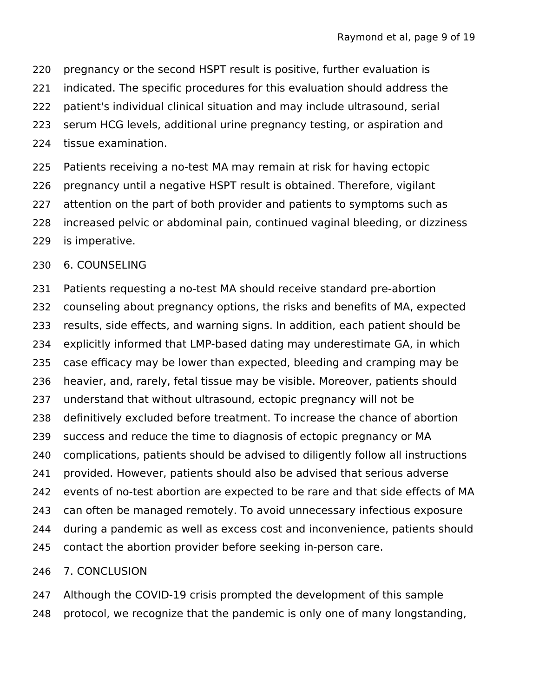- pregnancy or the second HSPT result is positive, further evaluation is 220
- indicated. The specific procedures for this evaluation should address the 221
- patient's individual clinical situation and may include ultrasound, serial 222
- serum HCG levels, additional urine pregnancy testing, or aspiration and 223
- tissue examination. 224
- Patients receiving a no-test MA may remain at risk for having ectopic pregnancy until a negative HSPT result is obtained. Therefore, vigilant 225 226
- attention on the part of both provider and patients to symptoms such as 227
- increased pelvic or abdominal pain, continued vaginal bleeding, or dizziness is imperative. 228 229

#### 6. COUNSELING 230

Patients requesting a no-test MA should receive standard pre-abortion counseling about pregnancy options, the risks and benefits of MA, expected results, side effects, and warning signs. In addition, each patient should be explicitly informed that LMP-based dating may underestimate GA, in which case efficacy may be lower than expected, bleeding and cramping may be heavier, and, rarely, fetal tissue may be visible. Moreover, patients should understand that without ultrasound, ectopic pregnancy will not be definitively excluded before treatment. To increase the chance of abortion success and reduce the time to diagnosis of ectopic pregnancy or MA complications, patients should be advised to diligently follow all instructions provided. However, patients should also be advised that serious adverse events of no-test abortion are expected to be rare and that side effects of MA can often be managed remotely. To avoid unnecessary infectious exposure during a pandemic as well as excess cost and inconvenience, patients should contact the abortion provider before seeking in-person care. 231 232 233 234 235 236 237 238 239 240 241 242 243 244 245

#### 7. CONCLUSION 246

Although the COVID-19 crisis prompted the development of this sample protocol, we recognize that the pandemic is only one of many longstanding, 247 248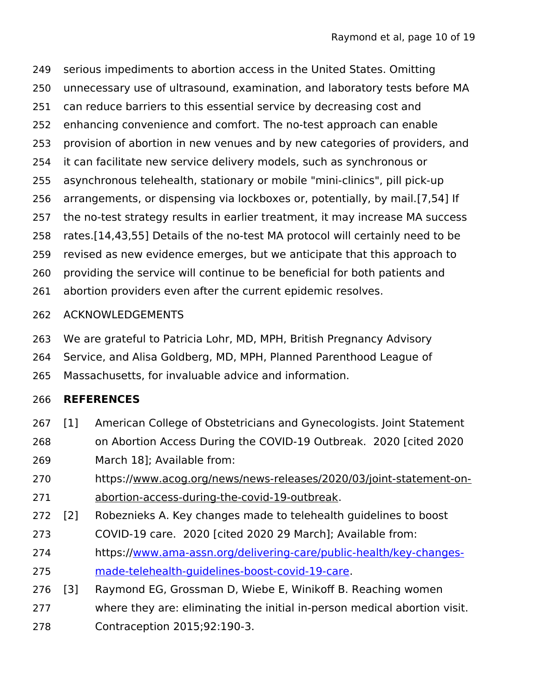serious impediments to abortion access in the United States. Omitting unnecessary use of ultrasound, examination, and laboratory tests before MA can reduce barriers to this essential service by decreasing cost and enhancing convenience and comfort. The no-test approach can enable provision of abortion in new venues and by new categories of providers, and it can facilitate new service delivery models, such as synchronous or asynchronous telehealth, stationary or mobile "mini-clinics", pill pick-up arrangements, or dispensing via lockboxes or, potentially, by mail.[7,54] If the no-test strategy results in earlier treatment, it may increase MA success rates.[14,43,55] Details of the no-test MA protocol will certainly need to be revised as new evidence emerges, but we anticipate that this approach to providing the service will continue to be beneficial for both patients and abortion providers even after the current epidemic resolves. 249 250 251 252 253 254 255 256 257 258 259 260 261

- ACKNOWLEDGEMENTS 262
- We are grateful to Patricia Lohr, MD, MPH, British Pregnancy Advisory 263
- Service, and Alisa Goldberg, MD, MPH, Planned Parenthood League of 264
- Massachusetts, for invaluable advice and information. 265

#### **REFERENCES** 266

- [1] American College of Obstetricians and Gynecologists. Joint Statement on Abortion Access During the COVID-19 Outbreak. 2020 [cited 2020 March 18]; Available from: 267 268 269
- https://www.acog.org/news/news-releases/2020/03/joint-statement-onabortion-access-during-the-covid-19-outbreak. 270 271
- [2] Robeznieks A. Key changes made to telehealth guidelines to boost 272
- COVID-19 care. 2020 [cited 2020 29 March]; Available from: 273
- https:/[/www.ama-assn.org/delivering-care/public-health/key-changes](http://www.ama-assn.org/delivering-care/public-health/key-changes-made-telehealth-guidelines-boost-covid-19-care)[made-telehealth-guidelines-boost-covid-19-care](http://www.ama-assn.org/delivering-care/public-health/key-changes-made-telehealth-guidelines-boost-covid-19-care). 274 275
- [3] Raymond EG, Grossman D, Wiebe E, Winikoff B. Reaching women 276
- where they are: eliminating the initial in-person medical abortion visit. 277
- Contraception 2015;92:190-3. 278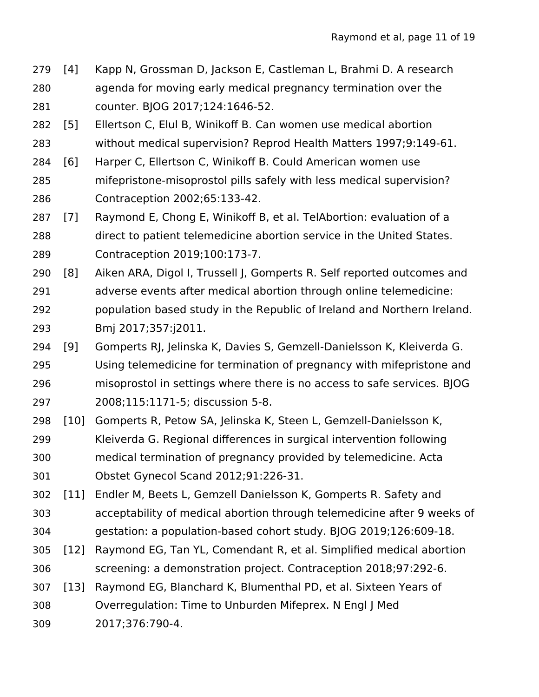- [4] Kapp N, Grossman D, Jackson E, Castleman L, Brahmi D. A research agenda for moving early medical pregnancy termination over the counter. BJOG 2017;124:1646-52. 279 280 281
- [5] Ellertson C, Elul B, Winikoff B. Can women use medical abortion 282
- without medical supervision? Reprod Health Matters 1997;9:149-61. 283
- [6] Harper C, Ellertson C, Winikoff B. Could American women use mifepristone-misoprostol pills safely with less medical supervision? Contraception 2002;65:133-42. 284 285 286
- [7] Raymond E, Chong E, Winikoff B, et al. TelAbortion: evaluation of a direct to patient telemedicine abortion service in the United States. Contraception 2019;100:173-7. 287 288 289
- [8] Aiken ARA, Digol I, Trussell J, Gomperts R. Self reported outcomes and adverse events after medical abortion through online telemedicine: population based study in the Republic of Ireland and Northern Ireland. Bmj 2017;357:j2011. 290 291 292 293
- [9] Gomperts RJ, Jelinska K, Davies S, Gemzell-Danielsson K, Kleiverda G. Using telemedicine for termination of pregnancy with mifepristone and misoprostol in settings where there is no access to safe services. BJOG 2008;115:1171-5; discussion 5-8. 294 295 296 297
- [10] Gomperts R, Petow SA, Jelinska K, Steen L, Gemzell-Danielsson K, Kleiverda G. Regional differences in surgical intervention following medical termination of pregnancy provided by telemedicine. Acta Obstet Gynecol Scand 2012;91:226-31. 298 299 300 301
- [11] Endler M, Beets L, Gemzell Danielsson K, Gomperts R. Safety and acceptability of medical abortion through telemedicine after 9 weeks of gestation: a population-based cohort study. BJOG 2019;126:609-18. 302 303 304
- [12] Raymond EG, Tan YL, Comendant R, et al. Simplified medical abortion screening: a demonstration project. Contraception 2018;97:292-6. 305 306
- [13] Raymond EG, Blanchard K, Blumenthal PD, et al. Sixteen Years of 307
- Overregulation: Time to Unburden Mifeprex. N Engl J Med 308
- 2017;376:790-4. 309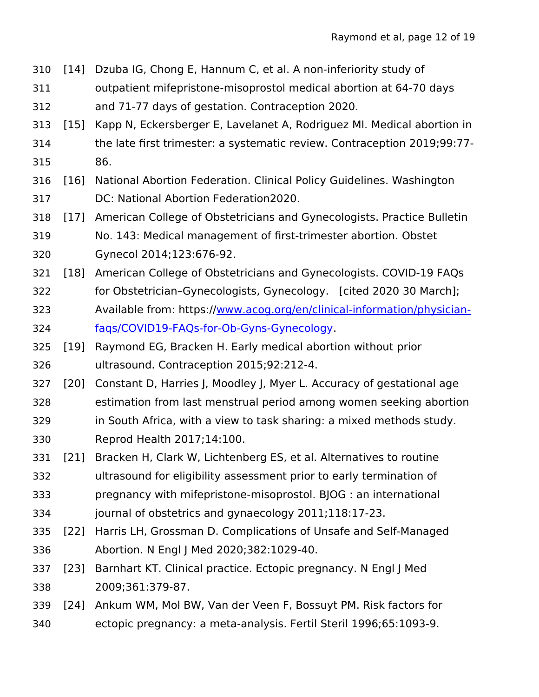| 310 | $[14]$ | Dzuba IG, Chong E, Hannum C, et al. A non-inferiority study of           |
|-----|--------|--------------------------------------------------------------------------|
| 311 |        | outpatient mifepristone-misoprostol medical abortion at 64-70 days       |
| 312 |        | and 71-77 days of gestation. Contraception 2020.                         |
| 313 | [15]   | Kapp N, Eckersberger E, Lavelanet A, Rodriguez MI. Medical abortion in   |
| 314 |        | the late first trimester: a systematic review. Contraception 2019;99:77- |
| 315 |        | 86.                                                                      |
| 316 | $[16]$ | National Abortion Federation. Clinical Policy Guidelines. Washington     |
| 317 |        | DC: National Abortion Federation2020.                                    |
| 318 | $[17]$ | American College of Obstetricians and Gynecologists. Practice Bulletin   |
| 319 |        | No. 143: Medical management of first-trimester abortion. Obstet          |
| 320 |        | Gynecol 2014;123:676-92.                                                 |
| 321 | $[18]$ | American College of Obstetricians and Gynecologists. COVID-19 FAQs       |
| 322 |        | for Obstetrician-Gynecologists, Gynecology. [cited 2020 30 March];       |
| 323 |        | Available from: https://www.acog.org/en/clinical-information/physician-  |
| 324 |        | faqs/COVID19-FAQs-for-Ob-Gyns-Gynecology.                                |
| 325 | $[19]$ | Raymond EG, Bracken H. Early medical abortion without prior              |
| 326 |        | ultrasound. Contraception 2015;92:212-4.                                 |
| 327 | $[20]$ | Constant D, Harries J, Moodley J, Myer L. Accuracy of gestational age    |
| 328 |        | estimation from last menstrual period among women seeking abortion       |
| 329 |        | in South Africa, with a view to task sharing: a mixed methods study.     |
| 330 |        | Reprod Health 2017;14:100.                                               |
| 331 | [21]   | Bracken H, Clark W, Lichtenberg ES, et al. Alternatives to routine       |
| 332 |        | ultrasound for eligibility assessment prior to early termination of      |
| 333 |        | pregnancy with mifepristone-misoprostol. BJOG : an international         |
| 334 |        | journal of obstetrics and gynaecology 2011;118:17-23.                    |
| 335 | $[22]$ | Harris LH, Grossman D. Complications of Unsafe and Self-Managed          |
| 336 |        | Abortion. N Engl J Med 2020;382:1029-40.                                 |
| 337 | $[23]$ | Barnhart KT. Clinical practice. Ectopic pregnancy. N Engl J Med          |
| 338 |        | 2009;361:379-87.                                                         |
| 339 | $[24]$ | Ankum WM, Mol BW, Van der Veen F, Bossuyt PM. Risk factors for           |
| 340 |        | ectopic pregnancy: a meta-analysis. Fertil Steril 1996;65:1093-9.        |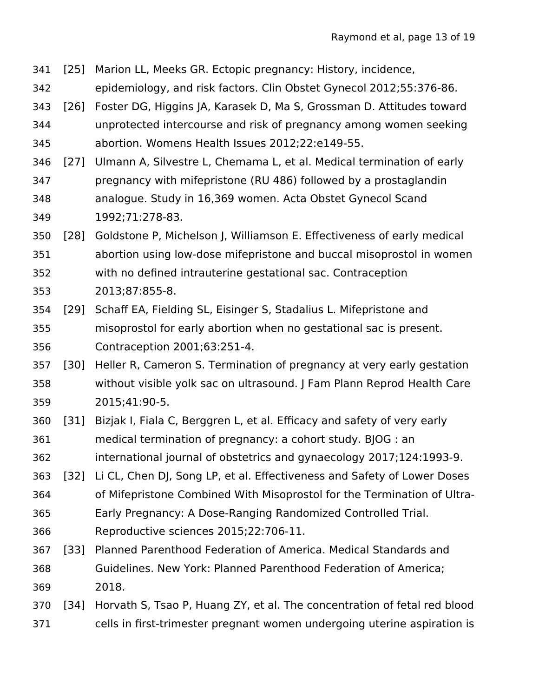- [25] Marion LL, Meeks GR. Ectopic pregnancy: History, incidence, 341
- epidemiology, and risk factors. Clin Obstet Gynecol 2012;55:376-86. 342
- [26] Foster DG, Higgins JA, Karasek D, Ma S, Grossman D. Attitudes toward unprotected intercourse and risk of pregnancy among women seeking abortion. Womens Health Issues 2012;22:e149-55. 343 344 345
- [27] Ulmann A, Silvestre L, Chemama L, et al. Medical termination of early pregnancy with mifepristone (RU 486) followed by a prostaglandin analogue. Study in 16,369 women. Acta Obstet Gynecol Scand 1992;71:278-83. 346 347 348 349
- [28] Goldstone P, Michelson J, Williamson E. Effectiveness of early medical abortion using low-dose mifepristone and buccal misoprostol in women with no defined intrauterine gestational sac. Contraception 2013;87:855-8. 350 351 352 353
- [29] Schaff EA, Fielding SL, Eisinger S, Stadalius L. Mifepristone and misoprostol for early abortion when no gestational sac is present. Contraception 2001;63:251-4. 354 355 356
- [30] Heller R, Cameron S. Termination of pregnancy at very early gestation without visible yolk sac on ultrasound. J Fam Plann Reprod Health Care 2015;41:90-5. 357 358 359
- [31] Bizjak I, Fiala C, Berggren L, et al. Efficacy and safety of very early medical termination of pregnancy: a cohort study. BJOG : an 360 361
- international journal of obstetrics and gynaecology 2017;124:1993-9. 362
- [32] Li CL, Chen DJ, Song LP, et al. Effectiveness and Safety of Lower Doses 363 364
- of Mifepristone Combined With Misoprostol for the Termination of Ultra-
- Early Pregnancy: A Dose-Ranging Randomized Controlled Trial. 365
- Reproductive sciences 2015;22:706-11. 366
- [33] Planned Parenthood Federation of America. Medical Standards and Guidelines. New York: Planned Parenthood Federation of America; 2018. 367 368 369
- [34] Horvath S, Tsao P, Huang ZY, et al. The concentration of fetal red blood cells in first-trimester pregnant women undergoing uterine aspiration is 370 371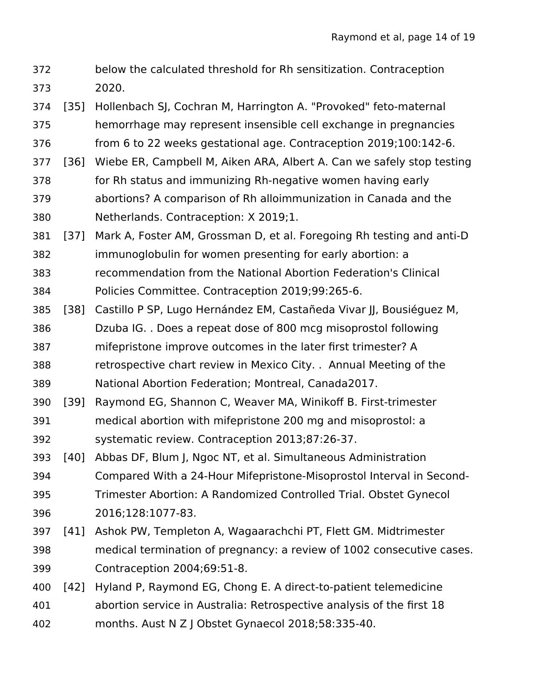- below the calculated threshold for Rh sensitization. Contraception 2020. 372 373
- [35] Hollenbach SJ, Cochran M, Harrington A. "Provoked" feto-maternal hemorrhage may represent insensible cell exchange in pregnancies 374 375
- from 6 to 22 weeks gestational age. Contraception 2019;100:142-6. 376
- [36] Wiebe ER, Campbell M, Aiken ARA, Albert A. Can we safely stop testing for Rh status and immunizing Rh-negative women having early abortions? A comparison of Rh alloimmunization in Canada and the Netherlands. Contraception: X 2019;1. 377 378 379 380
- [37] Mark A, Foster AM, Grossman D, et al. Foregoing Rh testing and anti-D immunoglobulin for women presenting for early abortion: a recommendation from the National Abortion Federation's Clinical Policies Committee. Contraception 2019;99:265-6. 381 382 383 384
- [38] Castillo P SP, Lugo Hernández EM, Castañeda Vivar II, Bousiéguez M, Dzuba IG. . Does a repeat dose of 800 mcg misoprostol following 385 386
- mifepristone improve outcomes in the later first trimester? A 387
- retrospective chart review in Mexico City. . Annual Meeting of the National Abortion Federation; Montreal, Canada2017. 388 389
- [39] Raymond EG, Shannon C, Weaver MA, Winikoff B. First-trimester 390
- medical abortion with mifepristone 200 mg and misoprostol: a systematic review. Contraception 2013;87:26-37. 391 392
- [40] Abbas DF, Blum J, Ngoc NT, et al. Simultaneous Administration 393
- Compared With a 24-Hour Mifepristone-Misoprostol Interval in Second-Trimester Abortion: A Randomized Controlled Trial. Obstet Gynecol 2016;128:1077-83. 394 395 396
- [41] Ashok PW, Templeton A, Wagaarachchi PT, Flett GM. Midtrimester medical termination of pregnancy: a review of 1002 consecutive cases. Contraception 2004;69:51-8. 397 398 399
- [42] Hyland P, Raymond EG, Chong E. A direct-to-patient telemedicine abortion service in Australia: Retrospective analysis of the first 18 400 401
- months. Aust N Z J Obstet Gynaecol 2018;58:335-40. 402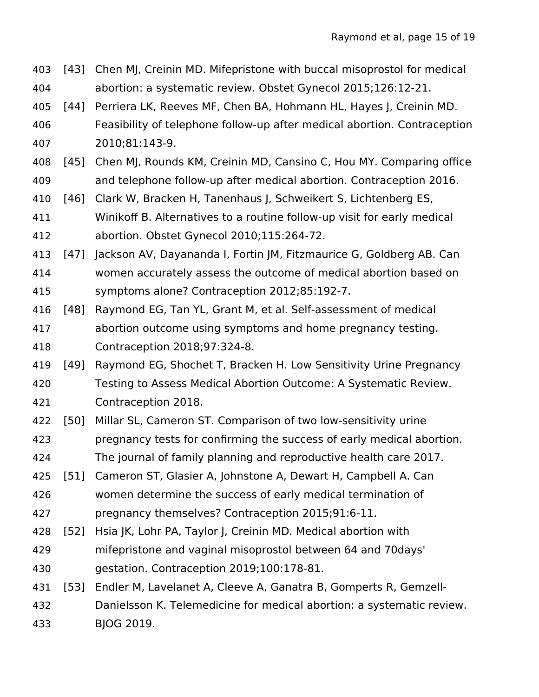| 403 | [43]   | Chen MJ, Creinin MD. Mifepristone with buccal misoprostol for medical    |
|-----|--------|--------------------------------------------------------------------------|
| 404 |        | abortion: a systematic review. Obstet Gynecol 2015;126:12-21.            |
| 405 | $[44]$ | Perriera LK, Reeves MF, Chen BA, Hohmann HL, Hayes J, Creinin MD.        |
| 406 |        | Feasibility of telephone follow-up after medical abortion. Contraception |
| 407 |        | 2010;81:143-9.                                                           |
| 408 | $[45]$ | Chen MJ, Rounds KM, Creinin MD, Cansino C, Hou MY. Comparing office      |
| 409 |        | and telephone follow-up after medical abortion. Contraception 2016.      |
| 410 | $[46]$ | Clark W, Bracken H, Tanenhaus J, Schweikert S, Lichtenberg ES,           |
| 411 |        | Winikoff B. Alternatives to a routine follow-up visit for early medical  |
| 412 |        | abortion. Obstet Gynecol 2010;115:264-72.                                |
| 413 | $[47]$ | Jackson AV, Dayananda I, Fortin JM, Fitzmaurice G, Goldberg AB. Can      |
| 414 |        | women accurately assess the outcome of medical abortion based on         |
| 415 |        | symptoms alone? Contraception 2012;85:192-7.                             |
| 416 | $[48]$ | Raymond EG, Tan YL, Grant M, et al. Self-assessment of medical           |
| 417 |        | abortion outcome using symptoms and home pregnancy testing.              |
| 418 |        | Contraception 2018;97:324-8.                                             |
| 419 | $[49]$ | Raymond EG, Shochet T, Bracken H. Low Sensitivity Urine Pregnancy        |
| 420 |        | Testing to Assess Medical Abortion Outcome: A Systematic Review.         |
| 421 |        | Contraception 2018.                                                      |
| 422 | $[50]$ | Millar SL, Cameron ST. Comparison of two low-sensitivity urine           |
| 423 |        | pregnancy tests for confirming the success of early medical abortion.    |
| 424 |        | The journal of family planning and reproductive health care 2017.        |
| 425 | $[51]$ | Cameron ST, Glasier A, Johnstone A, Dewart H, Campbell A. Can            |
| 426 |        | women determine the success of early medical termination of              |
| 427 |        | pregnancy themselves? Contraception 2015;91:6-11.                        |
| 428 | $[52]$ | Hsia JK, Lohr PA, Taylor J, Creinin MD. Medical abortion with            |
| 429 |        | mifepristone and vaginal misoprostol between 64 and 70days'              |
| 430 |        | gestation. Contraception 2019;100:178-81.                                |
| 431 | [53]   | Endler M, Lavelanet A, Cleeve A, Ganatra B, Gomperts R, Gemzell-         |
| 432 |        | Danielsson K. Telemedicine for medical abortion: a systematic review.    |
| 433 |        | BJOG 2019.                                                               |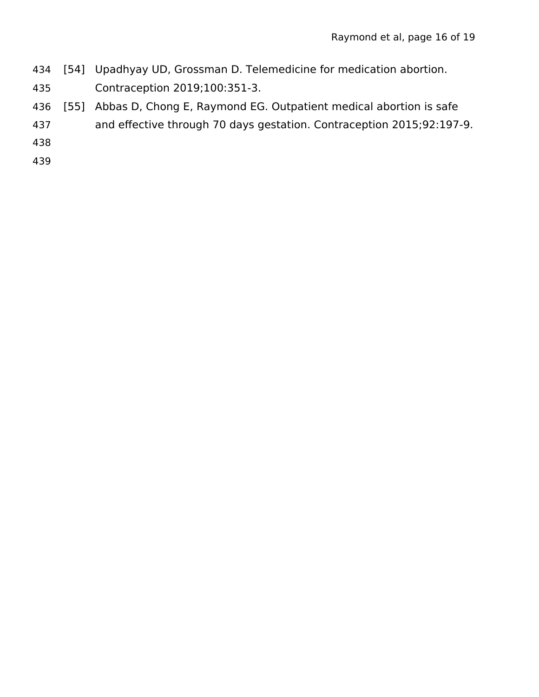- [54] Upadhyay UD, Grossman D. Telemedicine for medication abortion. 434
- Contraception 2019;100:351-3. 435
- [55] Abbas D, Chong E, Raymond EG. Outpatient medical abortion is safe 436
- and effective through 70 days gestation. Contraception 2015;92:197-9. 437
- 438
- 439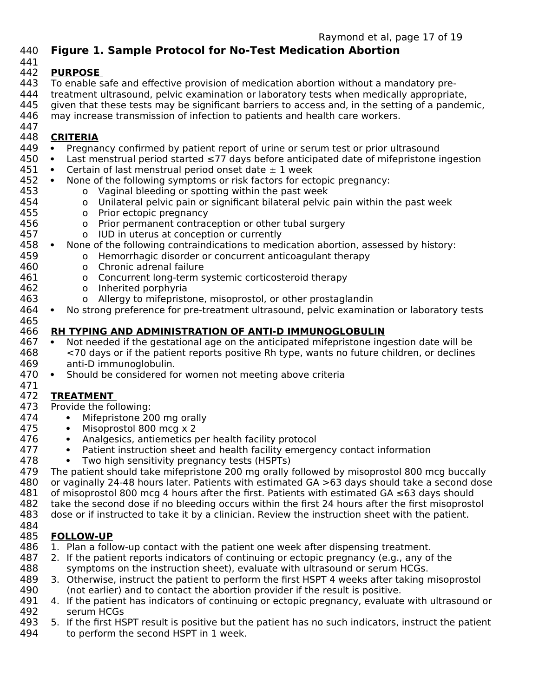## **Figure 1. Sample Protocol for No-Test Medication Abortion** 440

441

454

457

#### **PURPOSE**  442

- To enable safe and effective provision of medication abortion without a mandatory pre-443
- treatment ultrasound, pelvic examination or laboratory tests when medically appropriate, 444
- given that these tests may be significant barriers to access and, in the setting of a pandemic, 445
- may increase transmission of infection to patients and health care workers. 446 447

#### **CRITERIA** 448

- Pregnancy confirmed by patient report of urine or serum test or prior ultrasound 449
- Last menstrual period started ≤77 days before anticipated date of mifepristone ingestion 450
- Certain of last menstrual period onset date  $\pm$  1 week 451
- None of the following symptoms or risk factors for ectopic pregnancy: 452 453
	- o Vaginal bleeding or spotting within the past week
	- o Unilateral pelvic pain or significant bilateral pelvic pain within the past week
- o Prior ectopic pregnancy 455 456
	- o Prior permanent contraception or other tubal surgery
		- o IUD in uterus at conception or currently
- None of the following contraindications to medication abortion, assessed by history: 458 459
	- o Hemorrhagic disorder or concurrent anticoagulant therapy
- o Chronic adrenal failure 460
- o Concurrent long-term systemic corticosteroid therapy 461
- o Inherited porphyria 462 463
	- o Allergy to mifepristone, misoprostol, or other prostaglandin
- No strong preference for pre-treatment ultrasound, pelvic examination or laboratory tests 464 465

#### **RH TYPING AND ADMINISTRATION OF ANTI-D IMMUNOGLOBULIN** 466

- Not needed if the gestational age on the anticipated mifepristone ingestion date will be <70 days or if the patient reports positive Rh type, wants no future children, or declines anti-D immunoglobulin. 467 468 469
- Should be considered for women not meeting above criteria 470

# **TREATMENT**  471 472

- Provide the following: 473 474
	- Mifepristone 200 mg orally
		- Misoprostol 800 mcg x 2
		- Analgesics, antiemetics per health facility protocol
		- Patient instruction sheet and health facility emergency contact information
		- Two high sensitivity pregnancy tests (HSPTs)
- The patient should take mifepristone 200 mg orally followed by misoprostol 800 mcg buccally or vaginally 24-48 hours later. Patients with estimated GA >63 days should take a second dose 479 480
- of misoprostol 800 mcg 4 hours after the first. Patients with estimated GA ≤63 days should 481
- take the second dose if no bleeding occurs within the first 24 hours after the first misoprostol 482 483
- dose or if instructed to take it by a clinician. Review the instruction sheet with the patient. 484

# **FOLLOW-UP** 485

- 1. Plan a follow-up contact with the patient one week after dispensing treatment. 486
- 2. If the patient reports indicators of continuing or ectopic pregnancy (e.g., any of the symptoms on the instruction sheet), evaluate with ultrasound or serum HCGs. 487 488
- 3. Otherwise, instruct the patient to perform the first HSPT 4 weeks after taking misoprostol (not earlier) and to contact the abortion provider if the result is positive. 489 490
- 4. If the patient has indicators of continuing or ectopic pregnancy, evaluate with ultrasound or serum HCGs 491 492
- 5. If the first HSPT result is positive but the patient has no such indicators, instruct the patient to perform the second HSPT in 1 week. 493 494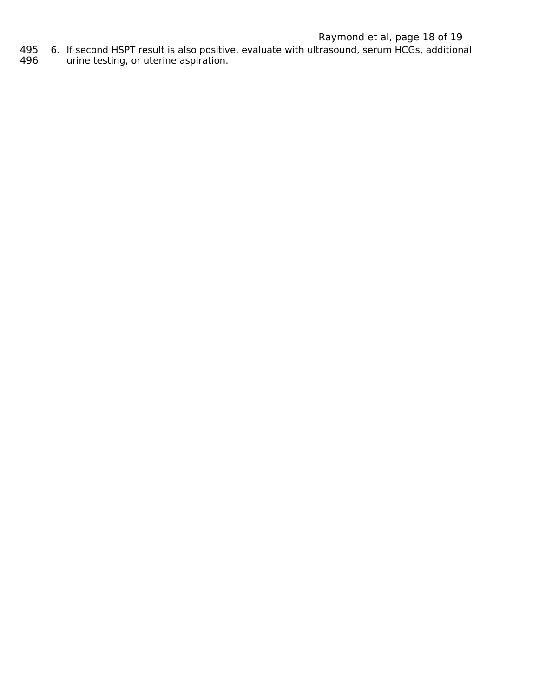# Raymond et al, page 18 of 19

- 6. If second HSPT result is also positive, evaluate with ultrasound, serum HCGs, additional 495
- urine testing, or uterine aspiration. 496